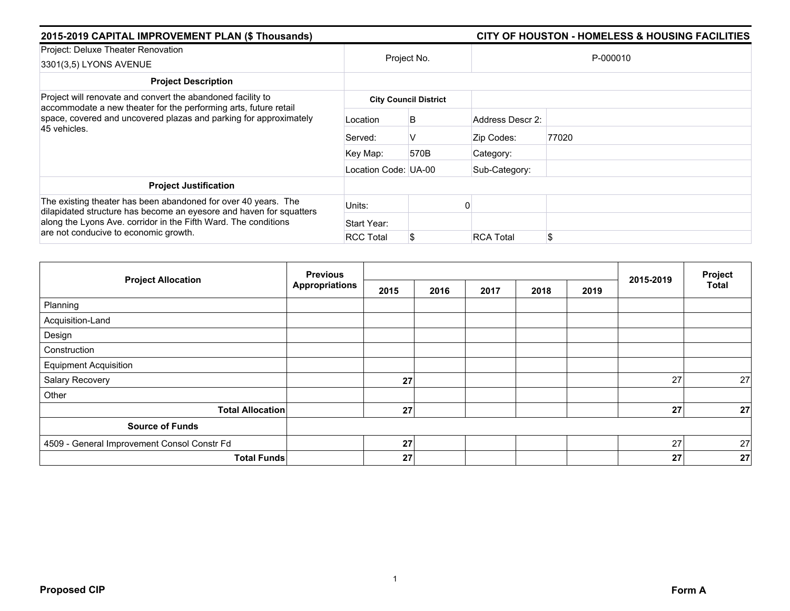| 2015-2019 CAPITAL IMPROVEMENT PLAN (\$ Thousands)                                                                                                                                                                                                 |                              |      | CITY OF HOUSTON - HOMELESS & HOUSING FACILITIES |          |  |  |  |  |
|---------------------------------------------------------------------------------------------------------------------------------------------------------------------------------------------------------------------------------------------------|------------------------------|------|-------------------------------------------------|----------|--|--|--|--|
| Project: Deluxe Theater Renovation<br>3301(3,5) LYONS AVENUE                                                                                                                                                                                      | Project No.                  |      |                                                 | P-000010 |  |  |  |  |
| <b>Project Description</b>                                                                                                                                                                                                                        |                              |      |                                                 |          |  |  |  |  |
| Project will renovate and convert the abandoned facility to<br>accommodate a new theater for the performing arts, future retail<br>space, covered and uncovered plazas and parking for approximately<br>45 vehicles.                              | <b>City Council District</b> |      |                                                 |          |  |  |  |  |
|                                                                                                                                                                                                                                                   | Location                     | B    | Address Descr 2:                                |          |  |  |  |  |
|                                                                                                                                                                                                                                                   | Served:                      | V    | Zip Codes:                                      | 77020    |  |  |  |  |
|                                                                                                                                                                                                                                                   | Key Map:                     | 570B | Category:                                       |          |  |  |  |  |
|                                                                                                                                                                                                                                                   | Location Code: UA-00         |      | Sub-Category:                                   |          |  |  |  |  |
| <b>Project Justification</b>                                                                                                                                                                                                                      |                              |      |                                                 |          |  |  |  |  |
| The existing theater has been abandoned for over 40 years. The<br>dilapidated structure has become an eyesore and haven for squatters<br>along the Lyons Ave. corridor in the Fifth Ward. The conditions<br>are not conducive to economic growth. | Units:                       |      |                                                 |          |  |  |  |  |
|                                                                                                                                                                                                                                                   | Start Year:                  |      |                                                 |          |  |  |  |  |
|                                                                                                                                                                                                                                                   | <b>RCC Total</b>             |      | <b>RCA Total</b>                                | \$       |  |  |  |  |

| <b>Project Allocation</b>                   | <b>Previous</b><br><b>Appropriations</b> |      |      |      | Project |      |           |              |
|---------------------------------------------|------------------------------------------|------|------|------|---------|------|-----------|--------------|
|                                             |                                          | 2015 | 2016 | 2017 | 2018    | 2019 | 2015-2019 | <b>Total</b> |
| Planning                                    |                                          |      |      |      |         |      |           |              |
| Acquisition-Land                            |                                          |      |      |      |         |      |           |              |
| Design                                      |                                          |      |      |      |         |      |           |              |
| Construction                                |                                          |      |      |      |         |      |           |              |
| <b>Equipment Acquisition</b>                |                                          |      |      |      |         |      |           |              |
| Salary Recovery                             |                                          | 27   |      |      |         |      | 27        | 27           |
| Other                                       |                                          |      |      |      |         |      |           |              |
| <b>Total Allocation</b>                     |                                          | 27   |      |      |         |      | 27        | 27           |
| <b>Source of Funds</b>                      |                                          |      |      |      |         |      |           |              |
| 4509 - General Improvement Consol Constr Fd |                                          | 27   |      |      |         |      | 27        | 27           |
| <b>Total Funds</b>                          |                                          | 27   |      |      |         |      | 27        | 27           |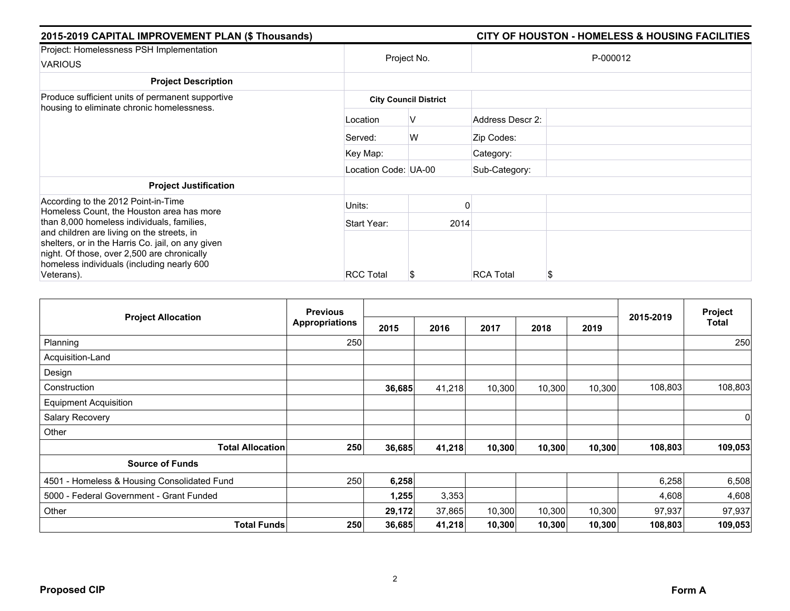| 2015-2019 CAPITAL IMPROVEMENT PLAN (\$ Thousands)                                                                                                                                                                                                                                                                                            |                      |                              | <b>CITY OF HOUSTON - HOMELESS &amp; HOUSING FACILITIES</b> |
|----------------------------------------------------------------------------------------------------------------------------------------------------------------------------------------------------------------------------------------------------------------------------------------------------------------------------------------------|----------------------|------------------------------|------------------------------------------------------------|
| Project: Homelessness PSH Implementation<br><b>VARIOUS</b>                                                                                                                                                                                                                                                                                   |                      | Project No.                  | P-000012                                                   |
| <b>Project Description</b>                                                                                                                                                                                                                                                                                                                   |                      |                              |                                                            |
| Produce sufficient units of permanent supportive<br>housing to eliminate chronic homelessness.                                                                                                                                                                                                                                               |                      | <b>City Council District</b> |                                                            |
|                                                                                                                                                                                                                                                                                                                                              | Location             | V                            | Address Descr 2:                                           |
|                                                                                                                                                                                                                                                                                                                                              | Served:              | W                            | Zip Codes:                                                 |
|                                                                                                                                                                                                                                                                                                                                              | Key Map:             |                              | Category:                                                  |
|                                                                                                                                                                                                                                                                                                                                              | Location Code: UA-00 |                              | Sub-Category:                                              |
| <b>Project Justification</b>                                                                                                                                                                                                                                                                                                                 |                      |                              |                                                            |
| According to the 2012 Point-in-Time<br>Homeless Count, the Houston area has more<br>than 8,000 homeless individuals, families,<br>and children are living on the streets, in<br>shelters, or in the Harris Co. jail, on any given<br>night. Of those, over 2,500 are chronically<br>homeless individuals (including nearly 600<br>Veterans). | Units:               |                              |                                                            |
|                                                                                                                                                                                                                                                                                                                                              | Start Year:          | 2014                         |                                                            |
|                                                                                                                                                                                                                                                                                                                                              | <b>RCC Total</b>     |                              | <b>RCA Total</b><br>S                                      |

| <b>Project Allocation</b>                   | <b>Previous</b><br><b>Appropriations</b> |        |        |        | Project |        |           |             |
|---------------------------------------------|------------------------------------------|--------|--------|--------|---------|--------|-----------|-------------|
|                                             |                                          | 2015   | 2016   | 2017   | 2018    | 2019   | 2015-2019 | Total       |
| Planning                                    | 250                                      |        |        |        |         |        |           | 250         |
| Acquisition-Land                            |                                          |        |        |        |         |        |           |             |
| Design                                      |                                          |        |        |        |         |        |           |             |
| Construction                                |                                          | 36,685 | 41,218 | 10,300 | 10,300  | 10,300 | 108,803   | 108,803     |
| <b>Equipment Acquisition</b>                |                                          |        |        |        |         |        |           |             |
| Salary Recovery                             |                                          |        |        |        |         |        |           | $\mathbf 0$ |
| Other                                       |                                          |        |        |        |         |        |           |             |
| <b>Total Allocation</b>                     | 250                                      | 36,685 | 41,218 | 10,300 | 10,300  | 10,300 | 108,803   | 109,053     |
| <b>Source of Funds</b>                      |                                          |        |        |        |         |        |           |             |
| 4501 - Homeless & Housing Consolidated Fund | 250                                      | 6,258  |        |        |         |        | 6,258     | 6,508       |
| 5000 - Federal Government - Grant Funded    |                                          | 1,255  | 3,353  |        |         |        | 4,608     | 4,608       |
| Other                                       |                                          | 29,172 | 37,865 | 10,300 | 10,300  | 10,300 | 97,937    | 97,937      |
| <b>Total Funds</b>                          | 250                                      | 36,685 | 41,218 | 10,300 | 10,300  | 10,300 | 108,803   | 109,053     |